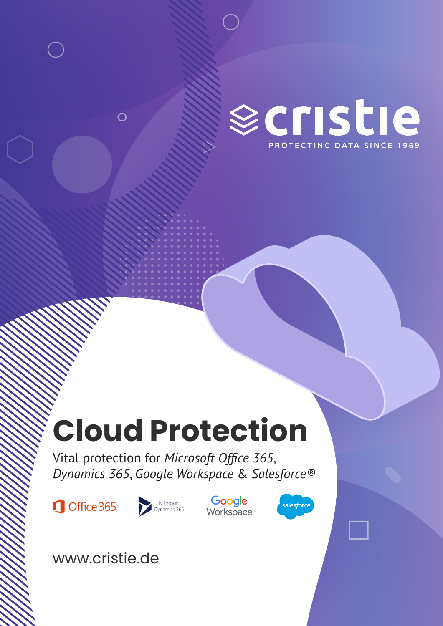

## **Cloud Protection**

Vital protection for *Microsoft Office 365*, *Dynamics 365*, *Google Workspace* & *Salesforce®*

Office 365



Google Workspace



www.cristie.de

 $\overline{O}$